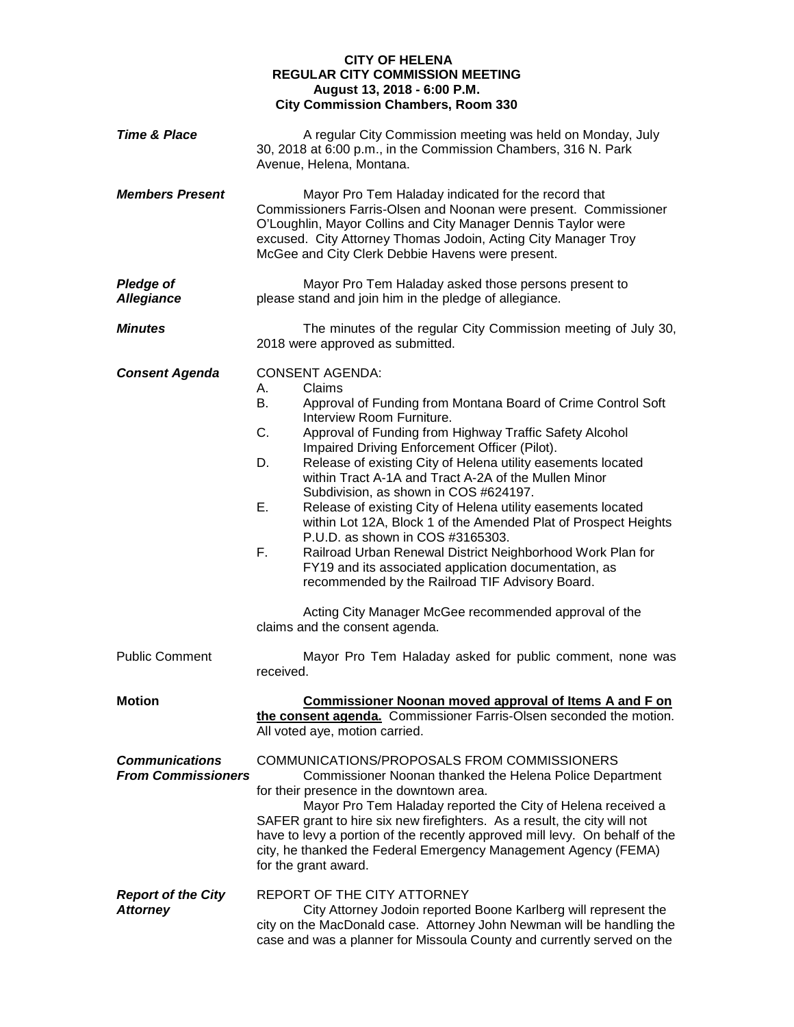## **CITY OF HELENA REGULAR CITY COMMISSION MEETING August 13, 2018 - 6:00 P.M. City Commission Chambers, Room 330**

| <b>Time &amp; Place</b>                            | A regular City Commission meeting was held on Monday, July<br>30, 2018 at 6:00 p.m., in the Commission Chambers, 316 N. Park<br>Avenue, Helena, Montana.                                                                                                                                                                                                                                                                                                                                                                                                                                                                                                                                                                                                                                                                                                                                   |
|----------------------------------------------------|--------------------------------------------------------------------------------------------------------------------------------------------------------------------------------------------------------------------------------------------------------------------------------------------------------------------------------------------------------------------------------------------------------------------------------------------------------------------------------------------------------------------------------------------------------------------------------------------------------------------------------------------------------------------------------------------------------------------------------------------------------------------------------------------------------------------------------------------------------------------------------------------|
| <b>Members Present</b>                             | Mayor Pro Tem Haladay indicated for the record that<br>Commissioners Farris-Olsen and Noonan were present. Commissioner<br>O'Loughlin, Mayor Collins and City Manager Dennis Taylor were<br>excused. City Attorney Thomas Jodoin, Acting City Manager Troy<br>McGee and City Clerk Debbie Havens were present.                                                                                                                                                                                                                                                                                                                                                                                                                                                                                                                                                                             |
| <b>Pledge of</b><br><b>Allegiance</b>              | Mayor Pro Tem Haladay asked those persons present to<br>please stand and join him in the pledge of allegiance.                                                                                                                                                                                                                                                                                                                                                                                                                                                                                                                                                                                                                                                                                                                                                                             |
| <b>Minutes</b>                                     | The minutes of the regular City Commission meeting of July 30,<br>2018 were approved as submitted.                                                                                                                                                                                                                                                                                                                                                                                                                                                                                                                                                                                                                                                                                                                                                                                         |
| <b>Consent Agenda</b>                              | <b>CONSENT AGENDA:</b><br>Claims<br>А.<br>В.<br>Approval of Funding from Montana Board of Crime Control Soft<br>Interview Room Furniture.<br>C.<br>Approval of Funding from Highway Traffic Safety Alcohol<br>Impaired Driving Enforcement Officer (Pilot).<br>Release of existing City of Helena utility easements located<br>D.<br>within Tract A-1A and Tract A-2A of the Mullen Minor<br>Subdivision, as shown in COS #624197.<br>Е.<br>Release of existing City of Helena utility easements located<br>within Lot 12A, Block 1 of the Amended Plat of Prospect Heights<br>P.U.D. as shown in COS #3165303.<br>F.<br>Railroad Urban Renewal District Neighborhood Work Plan for<br>FY19 and its associated application documentation, as<br>recommended by the Railroad TIF Advisory Board.<br>Acting City Manager McGee recommended approval of the<br>claims and the consent agenda. |
| <b>Public Comment</b>                              | Mayor Pro Tem Haladay asked for public comment, none was<br>received.                                                                                                                                                                                                                                                                                                                                                                                                                                                                                                                                                                                                                                                                                                                                                                                                                      |
| <b>Motion</b>                                      | <b>Commissioner Noonan moved approval of Items A and F on</b><br>the consent agenda. Commissioner Farris-Olsen seconded the motion.<br>All voted aye, motion carried.                                                                                                                                                                                                                                                                                                                                                                                                                                                                                                                                                                                                                                                                                                                      |
| <b>Communications</b><br><b>From Commissioners</b> | COMMUNICATIONS/PROPOSALS FROM COMMISSIONERS<br>Commissioner Noonan thanked the Helena Police Department<br>for their presence in the downtown area.<br>Mayor Pro Tem Haladay reported the City of Helena received a<br>SAFER grant to hire six new firefighters. As a result, the city will not<br>have to levy a portion of the recently approved mill levy. On behalf of the<br>city, he thanked the Federal Emergency Management Agency (FEMA)<br>for the grant award.                                                                                                                                                                                                                                                                                                                                                                                                                  |
| <b>Report of the City</b><br><b>Attorney</b>       | REPORT OF THE CITY ATTORNEY<br>City Attorney Jodoin reported Boone Karlberg will represent the<br>city on the MacDonald case. Attorney John Newman will be handling the<br>case and was a planner for Missoula County and currently served on the                                                                                                                                                                                                                                                                                                                                                                                                                                                                                                                                                                                                                                          |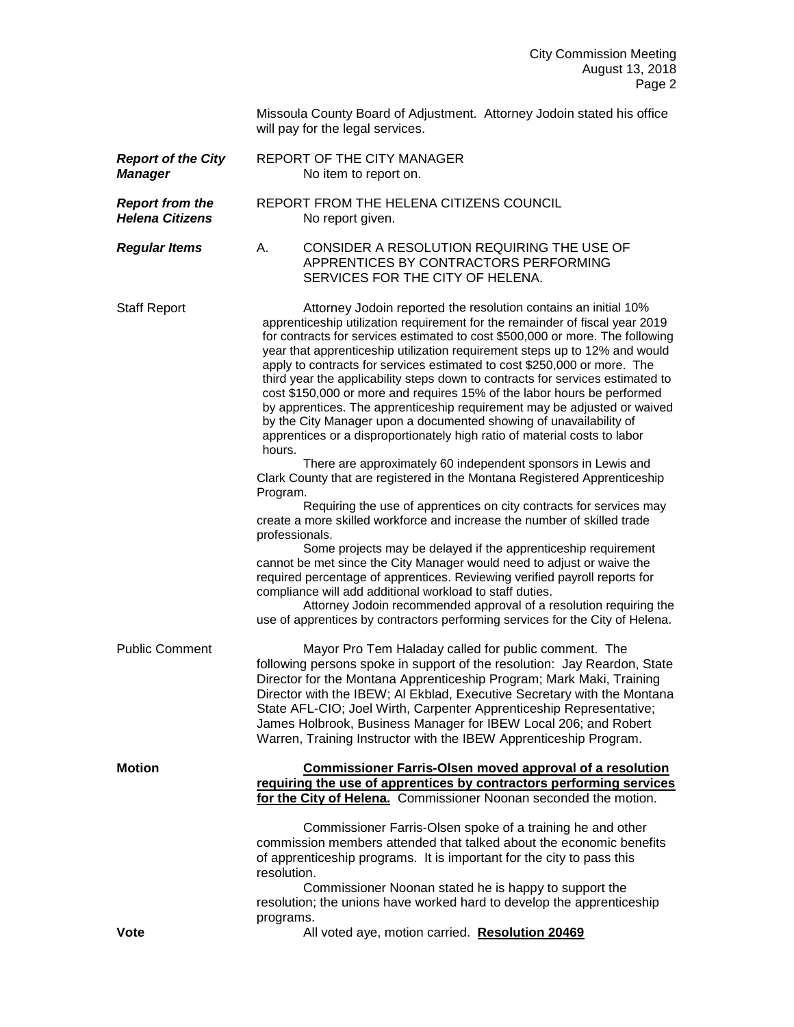Missoula County Board of Adjustment. Attorney Jodoin stated his office will pay for the legal services.

| <b>Report of the City</b><br><b>Manager</b>      | REPORT OF THE CITY MANAGER<br>No item to report on.                                                                                                                                                                                                                                                                                                                                                                                                                                                                                                                                                                                                                                                                                                                                                                                                                                                                                                                                                                                                                                                                                                                                                                                                                                                                                                                                                                                                                                                                                                                         |
|--------------------------------------------------|-----------------------------------------------------------------------------------------------------------------------------------------------------------------------------------------------------------------------------------------------------------------------------------------------------------------------------------------------------------------------------------------------------------------------------------------------------------------------------------------------------------------------------------------------------------------------------------------------------------------------------------------------------------------------------------------------------------------------------------------------------------------------------------------------------------------------------------------------------------------------------------------------------------------------------------------------------------------------------------------------------------------------------------------------------------------------------------------------------------------------------------------------------------------------------------------------------------------------------------------------------------------------------------------------------------------------------------------------------------------------------------------------------------------------------------------------------------------------------------------------------------------------------------------------------------------------------|
| <b>Report from the</b><br><b>Helena Citizens</b> | REPORT FROM THE HELENA CITIZENS COUNCIL<br>No report given.                                                                                                                                                                                                                                                                                                                                                                                                                                                                                                                                                                                                                                                                                                                                                                                                                                                                                                                                                                                                                                                                                                                                                                                                                                                                                                                                                                                                                                                                                                                 |
| <b>Regular Items</b>                             | CONSIDER A RESOLUTION REQUIRING THE USE OF<br>А.<br>APPRENTICES BY CONTRACTORS PERFORMING<br>SERVICES FOR THE CITY OF HELENA.                                                                                                                                                                                                                                                                                                                                                                                                                                                                                                                                                                                                                                                                                                                                                                                                                                                                                                                                                                                                                                                                                                                                                                                                                                                                                                                                                                                                                                               |
| <b>Staff Report</b>                              | Attorney Jodoin reported the resolution contains an initial 10%<br>apprenticeship utilization requirement for the remainder of fiscal year 2019<br>for contracts for services estimated to cost \$500,000 or more. The following<br>year that apprenticeship utilization requirement steps up to 12% and would<br>apply to contracts for services estimated to cost \$250,000 or more. The<br>third year the applicability steps down to contracts for services estimated to<br>cost \$150,000 or more and requires 15% of the labor hours be performed<br>by apprentices. The apprenticeship requirement may be adjusted or waived<br>by the City Manager upon a documented showing of unavailability of<br>apprentices or a disproportionately high ratio of material costs to labor<br>hours.<br>There are approximately 60 independent sponsors in Lewis and<br>Clark County that are registered in the Montana Registered Apprenticeship<br>Program.<br>Requiring the use of apprentices on city contracts for services may<br>create a more skilled workforce and increase the number of skilled trade<br>professionals.<br>Some projects may be delayed if the apprenticeship requirement<br>cannot be met since the City Manager would need to adjust or waive the<br>required percentage of apprentices. Reviewing verified payroll reports for<br>compliance will add additional workload to staff duties.<br>Attorney Jodoin recommended approval of a resolution requiring the<br>use of apprentices by contractors performing services for the City of Helena. |
| <b>Public Comment</b>                            | Mayor Pro Tem Haladay called for public comment. The<br>following persons spoke in support of the resolution: Jay Reardon, State<br>Director for the Montana Apprenticeship Program; Mark Maki, Training<br>Director with the IBEW; AI Ekblad, Executive Secretary with the Montana<br>State AFL-CIO; Joel Wirth, Carpenter Apprenticeship Representative;<br>James Holbrook, Business Manager for IBEW Local 206; and Robert<br>Warren, Training Instructor with the IBEW Apprenticeship Program.                                                                                                                                                                                                                                                                                                                                                                                                                                                                                                                                                                                                                                                                                                                                                                                                                                                                                                                                                                                                                                                                          |
| <b>Motion</b><br><b>Vote</b>                     | <b>Commissioner Farris-Olsen moved approval of a resolution</b><br>requiring the use of apprentices by contractors performing services<br>for the City of Helena. Commissioner Noonan seconded the motion.<br>Commissioner Farris-Olsen spoke of a training he and other<br>commission members attended that talked about the economic benefits<br>of apprenticeship programs. It is important for the city to pass this<br>resolution.<br>Commissioner Noonan stated he is happy to support the<br>resolution; the unions have worked hard to develop the apprenticeship<br>programs.<br>All voted aye, motion carried. Resolution 20469                                                                                                                                                                                                                                                                                                                                                                                                                                                                                                                                                                                                                                                                                                                                                                                                                                                                                                                                   |
|                                                  |                                                                                                                                                                                                                                                                                                                                                                                                                                                                                                                                                                                                                                                                                                                                                                                                                                                                                                                                                                                                                                                                                                                                                                                                                                                                                                                                                                                                                                                                                                                                                                             |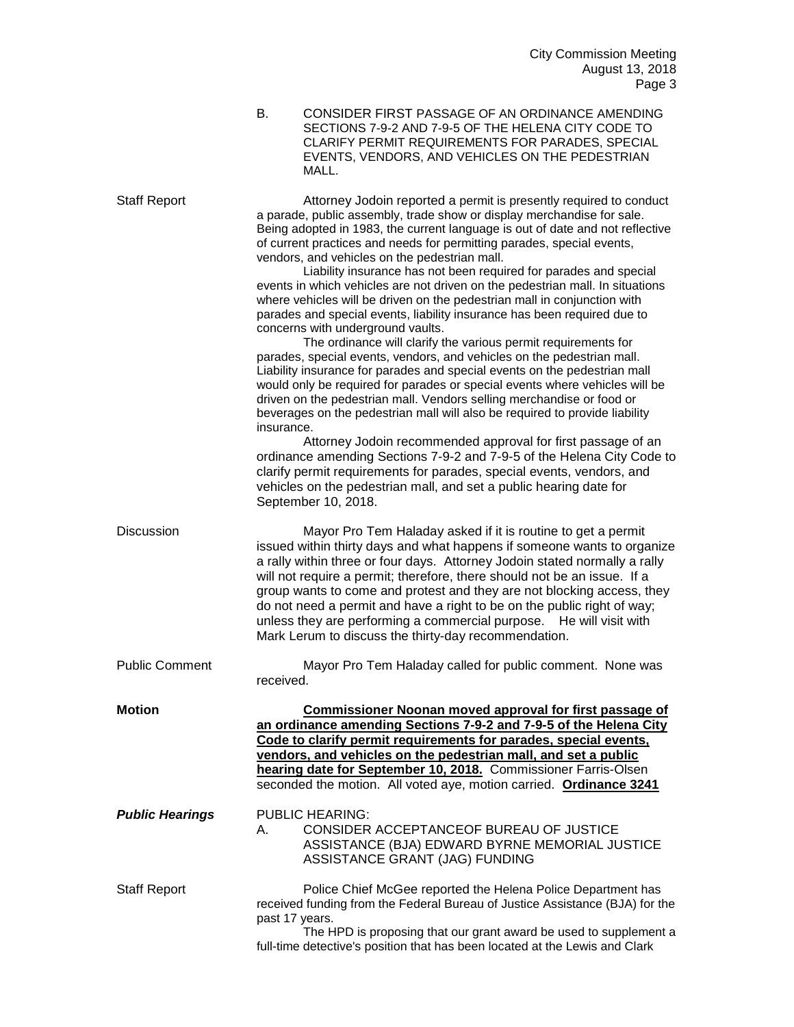| B. | CONSIDER FIRST PASSAGE OF AN ORDINANCE AMENDING<br>SECTIONS 7-9-2 AND 7-9-5 OF THE HELENA CITY CODE TO<br>CLARIFY PERMIT REQUIREMENTS FOR PARADES, SPECIAL<br>EVENTS, VENDORS, AND VEHICLES ON THE PEDESTRIAN<br>MALL. |
|----|------------------------------------------------------------------------------------------------------------------------------------------------------------------------------------------------------------------------|
|    |                                                                                                                                                                                                                        |

Staff Report **Attorney Jodoin reported a permit is presently required to conduct** a parade, public assembly, trade show or display merchandise for sale. Being adopted in 1983, the current language is out of date and not reflective of current practices and needs for permitting parades, special events, vendors, and vehicles on the pedestrian mall.

Liability insurance has not been required for parades and special events in which vehicles are not driven on the pedestrian mall. In situations where vehicles will be driven on the pedestrian mall in conjunction with parades and special events, liability insurance has been required due to concerns with underground vaults.

The ordinance will clarify the various permit requirements for parades, special events, vendors, and vehicles on the pedestrian mall. Liability insurance for parades and special events on the pedestrian mall would only be required for parades or special events where vehicles will be driven on the pedestrian mall. Vendors selling merchandise or food or beverages on the pedestrian mall will also be required to provide liability insurance.

Attorney Jodoin recommended approval for first passage of an ordinance amending Sections 7-9-2 and 7-9-5 of the Helena City Code to clarify permit requirements for parades, special events, vendors, and vehicles on the pedestrian mall, and set a public hearing date for September 10, 2018.

Discussion Mayor Pro Tem Haladay asked if it is routine to get a permit issued within thirty days and what happens if someone wants to organize a rally within three or four days. Attorney Jodoin stated normally a rally will not require a permit; therefore, there should not be an issue. If a group wants to come and protest and they are not blocking access, they do not need a permit and have a right to be on the public right of way; unless they are performing a commercial purpose. He will visit with Mark Lerum to discuss the thirty-day recommendation.

Public Comment Mayor Pro Tem Haladay called for public comment. None was received.

**Motion Commissioner Noonan moved approval for first passage of an ordinance amending Sections 7-9-2 and 7-9-5 of the Helena City Code to clarify permit requirements for parades, special events, vendors, and vehicles on the pedestrian mall, and set a public hearing date for September 10, 2018.** Commissioner Farris-Olsen seconded the motion. All voted aye, motion carried. **Ordinance 3241**

## *Public Hearings* PUBLIC HEARING: A. CONSIDER ACCEPTANCEOF BUREAU OF JUSTICE ASSISTANCE (BJA) EDWARD BYRNE MEMORIAL JUSTICE ASSISTANCE GRANT (JAG) FUNDING

Staff Report Police Chief McGee reported the Helena Police Department has received funding from the Federal Bureau of Justice Assistance (BJA) for the past 17 years.

The HPD is proposing that our grant award be used to supplement a full-time detective's position that has been located at the Lewis and Clark